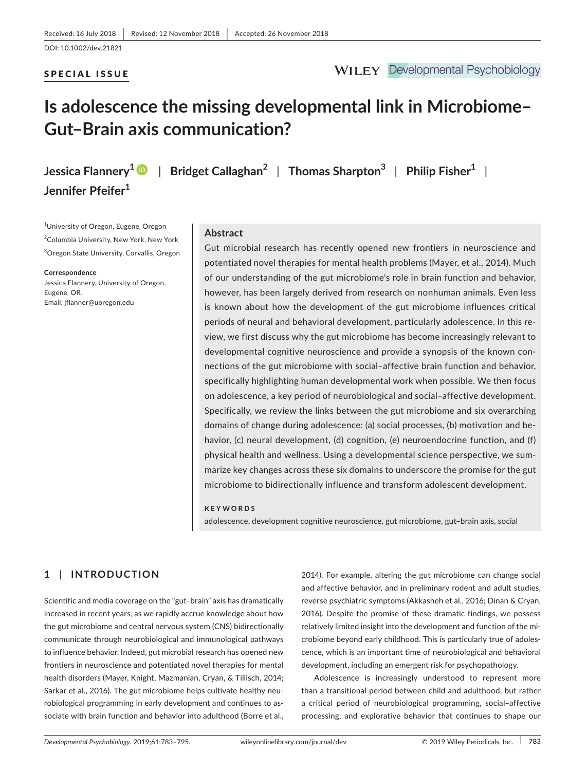### SPECIAL ISSUE

**Jennifer Pfeifer<sup>1</sup>**

**WILEY** Developmental Psychobiology

# **Is adolescence the missing developmental link in Microbiome– Gut–Brain axis communication?**

**Jessica Flannery[1](https://orcid.org/0000-0003-0710-2512)** | **Bridget Callaghan<sup>2</sup>** | **Thomas Sharpton<sup>3</sup>** | **Philip Fisher<sup>1</sup>** |

1 University of Oregon, Eugene, Oregon 2 Columbia University, New York, New York 3 Oregon State University, Corvallis, Oregon

**Correspondence** Jessica Flannery, University of Oregon, Eugene, OR. Email: [jflanner@uoregon.edu](mailto:jflanner@uoregon.edu)

### **Abstract**

Gut microbial research has recently opened new frontiers in neuroscience and potentiated novel therapies for mental health problems (Mayer, et al., 2014). Much of our understanding of the gut microbiome's role in brain function and behavior, however, has been largely derived from research on nonhuman animals. Even less is known about how the development of the gut microbiome influences critical periods of neural and behavioral development, particularly adolescence. In this re‐ view, we first discuss why the gut microbiome has become increasingly relevant to developmental cognitive neuroscience and provide a synopsis of the known con‐ nections of the gut microbiome with social–affective brain function and behavior, specifically highlighting human developmental work when possible. We then focus on adolescence, a key period of neurobiological and social–affective development. Specifically, we review the links between the gut microbiome and six overarching domains of change during adolescence: (a) social processes, (b) motivation and be‐ havior, (c) neural development, (d) cognition, (e) neuroendocrine function, and (f) physical health and wellness. Using a developmental science perspective, we sum‐ marize key changes across these six domains to underscore the promise for the gut microbiome to bidirectionally influence and transform adolescent development.

#### **KEYWORDS**

adolescence, development cognitive neuroscience, gut microbiome, gut–brain axis, social

### **1** | **INTRODUCTION**

Scientific and media coverage on the "gut–brain" axis has dramatically increased in recent years, as we rapidly accrue knowledge about how the gut microbiome and central nervous system (CNS) bidirectionally communicate through neurobiological and immunological pathways to influence behavior. Indeed, gut microbial research has opened new frontiers in neuroscience and potentiated novel therapies for mental health disorders (Mayer, Knight, Mazmanian, Cryan, & Tillisch, 2014; Sarkar et al., 2016). The gut microbiome helps cultivate healthy neu‐ robiological programming in early development and continues to as‐ sociate with brain function and behavior into adulthood (Borre et al.,

2014). For example, altering the gut microbiome can change social and affective behavior, and in preliminary rodent and adult studies, reverse psychiatric symptoms (Akkasheh et al., 2016; Dinan & Cryan, 2016). Despite the promise of these dramatic findings, we possess relatively limited insight into the development and function of the mi‐ crobiome beyond early childhood. This is particularly true of adoles‐ cence, which is an important time of neurobiological and behavioral development, including an emergent risk for psychopathology.

Adolescence is increasingly understood to represent more than a transitional period between child and adulthood, but rather a critical period of neurobiological programming, social–affective processing, and explorative behavior that continues to shape our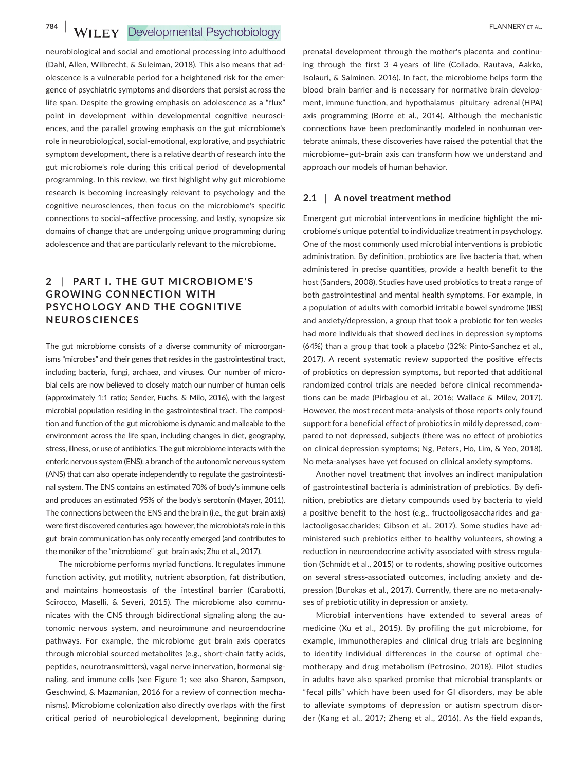neurobiological and social and emotional processing into adulthood (Dahl, Allen, Wilbrecht, & Suleiman, 2018). This also means that ad‐ olescence is a vulnerable period for a heightened risk for the emer‐ gence of psychiatric symptoms and disorders that persist across the life span. Despite the growing emphasis on adolescence as a "flux" point in development within developmental cognitive neurosciences, and the parallel growing emphasis on the gut microbiome's role in neurobiological, social‐emotional, explorative, and psychiatric symptom development, there is a relative dearth of research into the gut microbiome's role during this critical period of developmental programming. In this review, we first highlight why gut microbiome research is becoming increasingly relevant to psychology and the cognitive neurosciences, then focus on the microbiome's specific connections to social–affective processing, and lastly, synopsize six domains of change that are undergoing unique programming during adolescence and that are particularly relevant to the microbiome.

## **2** | **PART I. THE GUT MICROBIOME' S GROWING CONNECTION WITH PSYCHOLOGY AND THE COGNITIVE NEUROSCIENCES**

The gut microbiome consists of a diverse community of microorgan‐ isms "microbes" and their genes that resides in the gastrointestinal tract, including bacteria, fungi, archaea, and viruses. Our number of microbial cells are now believed to closely match our number of human cells (approximately 1:1 ratio; Sender, Fuchs, & Milo, 2016), with the largest microbial population residing in the gastrointestinal tract. The composi‐ tion and function of the gut microbiome is dynamic and malleable to the environment across the life span, including changes in diet, geography, stress, illness, or use of antibiotics. The gut microbiome interacts with the enteric nervous system (ENS): a branch of the autonomic nervous system (ANS) that can also operate independently to regulate the gastrointesti‐ nal system. The ENS contains an estimated 70% of body's immune cells and produces an estimated 95% of the body's serotonin (Mayer, 2011). The connections between the ENS and the brain (i.e., the gut–brain axis) were first discovered centuries ago; however, the microbiota's role in this gut–brain communication has only recently emerged (and contributes to the moniker of the "microbiome"–gut–brain axis; Zhu et al., 2017).

The microbiome performs myriad functions. It regulates immune function activity, gut motility, nutrient absorption, fat distribution, and maintains homeostasis of the intestinal barrier (Carabotti, Scirocco, Maselli, & Severi, 2015). The microbiome also communicates with the CNS through bidirectional signaling along the au‐ tonomic nervous system, and neuroimmune and neuroendocrine pathways. For example, the microbiome–gut–brain axis operates through microbial sourced metabolites (e.g., short‐chain fatty acids, peptides, neurotransmitters), vagal nerve innervation, hormonal signaling, and immune cells (see Figure 1; see also Sharon, Sampson, Geschwind, & Mazmanian, 2016 for a review of connection mecha‐ nisms). Microbiome colonization also directly overlaps with the first critical period of neurobiological development, beginning during

prenatal development through the mother's placenta and continu‐ ing through the first 3–4 years of life (Collado, Rautava, Aakko, Isolauri, & Salminen, 2016). In fact, the microbiome helps form the blood–brain barrier and is necessary for normative brain develop‐ ment, immune function, and hypothalamus–pituitary–adrenal (HPA) axis programming (Borre et al., 2014). Although the mechanistic connections have been predominantly modeled in nonhuman ver‐ tebrate animals, these discoveries have raised the potential that the microbiome–gut–brain axis can transform how we understand and approach our models of human behavior.

### **2.1** | **A novel treatment method**

Emergent gut microbial interventions in medicine highlight the mi‐ crobiome's unique potential to individualize treatment in psychology. One of the most commonly used microbial interventions is probiotic administration. By definition, probiotics are live bacteria that, when administered in precise quantities, provide a health benefit to the host (Sanders, 2008). Studies have used probiotics to treat a range of both gastrointestinal and mental health symptoms. For example, in a population of adults with comorbid irritable bowel syndrome (IBS) and anxiety/depression, a group that took a probiotic for ten weeks had more individuals that showed declines in depression symptoms (64%) than a group that took a placebo (32%; Pinto‐Sanchez et al., 2017). A recent systematic review supported the positive effects of probiotics on depression symptoms, but reported that additional randomized control trials are needed before clinical recommenda‐ tions can be made (Pirbaglou et al., 2016; Wallace & Milev, 2017). However, the most recent meta‐analysis of those reports only found support for a beneficial effect of probiotics in mildly depressed, compared to not depressed, subjects (there was no effect of probiotics on clinical depression symptoms; Ng, Peters, Ho, Lim, & Yeo, 2018). No meta‐analyses have yet focused on clinical anxiety symptoms.

Another novel treatment that involves an indirect manipulation of gastrointestinal bacteria is administration of prebiotics. By defi‐ nition, prebiotics are dietary compounds used by bacteria to yield a positive benefit to the host (e.g., fructooligosaccharides and ga‐ lactooligosaccharides; Gibson et al., 2017). Some studies have ad‐ ministered such prebiotics either to healthy volunteers, showing a reduction in neuroendocrine activity associated with stress regula‐ tion (Schmidt et al., 2015) or to rodents, showing positive outcomes on several stress‐associated outcomes, including anxiety and de‐ pression (Burokas et al., 2017). Currently, there are no meta-analyses of prebiotic utility in depression or anxiety.

Microbial interventions have extended to several areas of medicine (Xu et al., 2015). By profiling the gut microbiome, for example, immunotherapies and clinical drug trials are beginning to identify individual differences in the course of optimal che‐ motherapy and drug metabolism (Petrosino, 2018). Pilot studies in adults have also sparked promise that microbial transplants or "fecal pills" which have been used for GI disorders, may be able to alleviate symptoms of depression or autism spectrum disor‐ der (Kang et al., 2017; Zheng et al., 2016). As the field expands,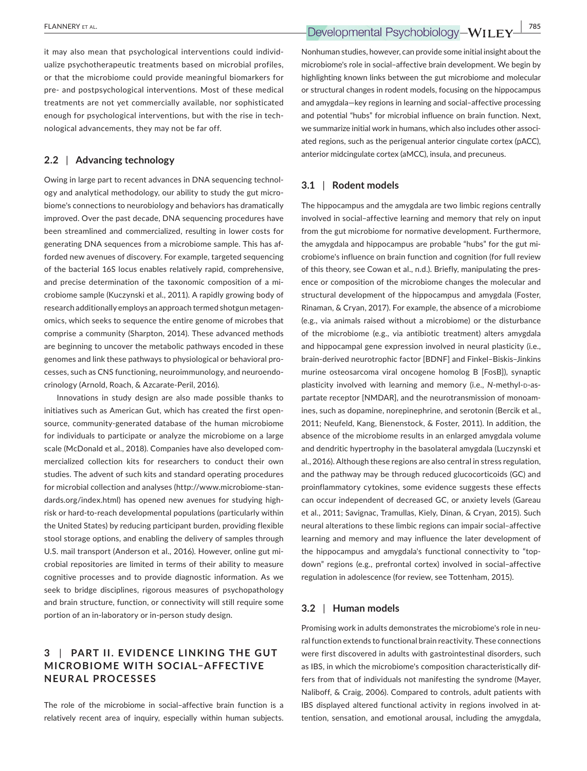it may also mean that psychological interventions could individ‐ ualize psychotherapeutic treatments based on microbial profiles, or that the microbiome could provide meaningful biomarkers for pre‐ and postpsychological interventions. Most of these medical treatments are not yet commercially available, nor sophisticated enough for psychological interventions, but with the rise in tech‐ nological advancements, they may not be far off.

### **2.2** | **Advancing technology**

Owing in large part to recent advances in DNA sequencing technol‐ ogy and analytical methodology, our ability to study the gut micro‐ biome's connections to neurobiology and behaviors has dramatically improved. Over the past decade, DNA sequencing procedures have been streamlined and commercialized, resulting in lower costs for generating DNA sequences from a microbiome sample. This has af‐ forded new avenues of discovery. For example, targeted sequencing of the bacterial 16S locus enables relatively rapid, comprehensive, and precise determination of the taxonomic composition of a mi‐ crobiome sample (Kuczynski et al., 2011). A rapidly growing body of research additionally employs an approach termed shotgun metagen‐ omics, which seeks to sequence the entire genome of microbes that comprise a community (Sharpton, 2014). These advanced methods are beginning to uncover the metabolic pathways encoded in these genomes and link these pathways to physiological or behavioral pro‐ cesses, such as CNS functioning, neuroimmunology, and neuroendo‐ crinology (Arnold, Roach, & Azcarate‐Peril, 2016).

Innovations in study design are also made possible thanks to initiatives such as American Gut, which has created the first opensource, community‐generated database of the human microbiome for individuals to participate or analyze the microbiome on a large scale (McDonald et al., 2018). Companies have also developed com‐ mercialized collection kits for researchers to conduct their own studies. The advent of such kits and standard operating procedures for microbial collection and analyses ([http://www.microbiome-stan‐](http://www.microbiome-standards.org/index.html) [dards.org/index.html](http://www.microbiome-standards.org/index.html)) has opened new avenues for studying high‐ risk or hard‐to‐reach developmental populations (particularly within the United States) by reducing participant burden, providing flexible stool storage options, and enabling the delivery of samples through U.S. mail transport (Anderson et al., 2016). However, online gut mi‐ crobial repositories are limited in terms of their ability to measure cognitive processes and to provide diagnostic information. As we seek to bridge disciplines, rigorous measures of psychopathology and brain structure, function, or connectivity will still require some portion of an in‐laboratory or in‐person study design.

## **3** | **PART II. E VIDENCE LINKING THE GUT MICROBIOME WITH SOCIAL–AFFEC TIVE NEURAL PROCESSES**

The role of the microbiome in social–affective brain function is a relatively recent area of inquiry, especially within human subjects. Nonhuman studies, however, can provide some initial insight about the microbiome's role in social–affective brain development. We begin by highlighting known links between the gut microbiome and molecular or structural changes in rodent models, focusing on the hippocampus and amygdala—key regions in learning and social–affective processing and potential "hubs" for microbial influence on brain function. Next, we summarize initial work in humans, which also includes other associated regions, such as the perigenual anterior cingulate cortex (pACC), anterior midcingulate cortex (aMCC), insula, and precuneus.

### **3.1** | **Rodent models**

The hippocampus and the amygdala are two limbic regions centrally involved in social–affective learning and memory that rely on input from the gut microbiome for normative development. Furthermore, the amygdala and hippocampus are probable "hubs" for the gut mi‐ crobiome's influence on brain function and cognition (for full review of this theory, see Cowan et al., n.d.). Briefly, manipulating the pres‐ ence or composition of the microbiome changes the molecular and structural development of the hippocampus and amygdala (Foster, Rinaman, & Cryan, 2017). For example, the absence of a microbiome (e.g., via animals raised without a microbiome) or the disturbance of the microbiome (e.g., via antibiotic treatment) alters amygdala and hippocampal gene expression involved in neural plasticity (i.e., brain‐derived neurotrophic factor [BDNF] and Finkel–Biskis–Jinkins murine osteosarcoma viral oncogene homolog B [FosB]), synaptic plasticity involved with learning and memory (i.e., N-methyl-D-aspartate receptor [NMDAR], and the neurotransmission of monoam‐ ines, such as dopamine, norepinephrine, and serotonin (Bercik et al., 2011; Neufeld, Kang, Bienenstock, & Foster, 2011). In addition, the absence of the microbiome results in an enlarged amygdala volume and dendritic hypertrophy in the basolateral amygdala (Luczynski et al., 2016). Although these regions are also central in stress regulation, and the pathway may be through reduced glucocorticoids (GC) and proinflammatory cytokines, some evidence suggests these effects can occur independent of decreased GC, or anxiety levels (Gareau et al., 2011; Savignac, Tramullas, Kiely, Dinan, & Cryan, 2015). Such neural alterations to these limbic regions can impair social–affective learning and memory and may influence the later development of the hippocampus and amygdala's functional connectivity to "top‐ down" regions (e.g., prefrontal cortex) involved in social–affective regulation in adolescence (for review, see Tottenham, 2015).

### **3.2** | **Human models**

Promising work in adults demonstrates the microbiome's role in neu‐ ral function extends to functional brain reactivity. These connections were first discovered in adults with gastrointestinal disorders, such as IBS, in which the microbiome's composition characteristically dif‐ fers from that of individuals not manifesting the syndrome (Mayer, Naliboff, & Craig, 2006). Compared to controls, adult patients with IBS displayed altered functional activity in regions involved in attention, sensation, and emotional arousal, including the amygdala,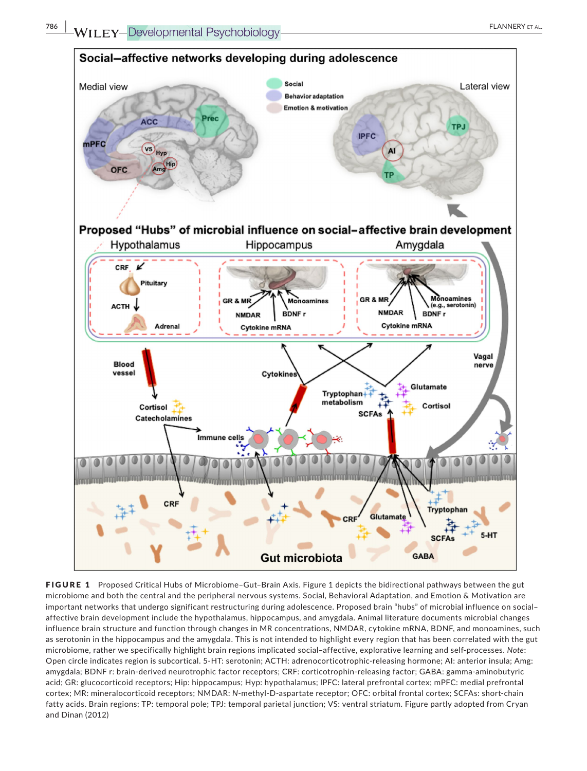

FIGURE 1 Proposed Critical Hubs of Microbiome-Gut-Brain Axis. Figure 1 depicts the bidirectional pathways between the gut microbiome and both the central and the peripheral nervous systems. Social, Behavioral Adaptation, and Emotion & Motivation are important networks that undergo significant restructuring during adolescence. Proposed brain "hubs" of microbial influence on social– affective brain development include the hypothalamus, hippocampus, and amygdala. Animal literature documents microbial changes influence brain structure and function through changes in MR concentrations, NMDAR, cytokine mRNA, BDNF, and monoamines, such as serotonin in the hippocampus and the amygdala. This is not intended to highlight every region that has been correlated with the gut microbiome, rather we specifically highlight brain regions implicated social–affective, explorative learning and self‐processes. *Note*: Open circle indicates region is subcortical. 5‐HT: serotonin; ACTH: adrenocorticotrophic‐releasing hormone; AI: anterior insula; Amg: amygdala; BDNF r: brain-derived neurotrophic factor receptors; CRF: corticotrophin-releasing factor; GABA: gamma-aminobutyric acid; GR: glucocorticoid receptors; Hip: hippocampus; Hyp: hypothalamus; lPFC: lateral prefrontal cortex; mPFC: medial prefrontal cortex; MR: mineralocorticoid receptors; NMDAR: *N*‐methyl‐D‐aspartate receptor; OFC: orbital frontal cortex; SCFAs: short‐chain fatty acids. Brain regions; TP: temporal pole; TPJ: temporal parietal junction; VS: ventral striatum. Figure partly adopted from Cryan and Dinan (2012)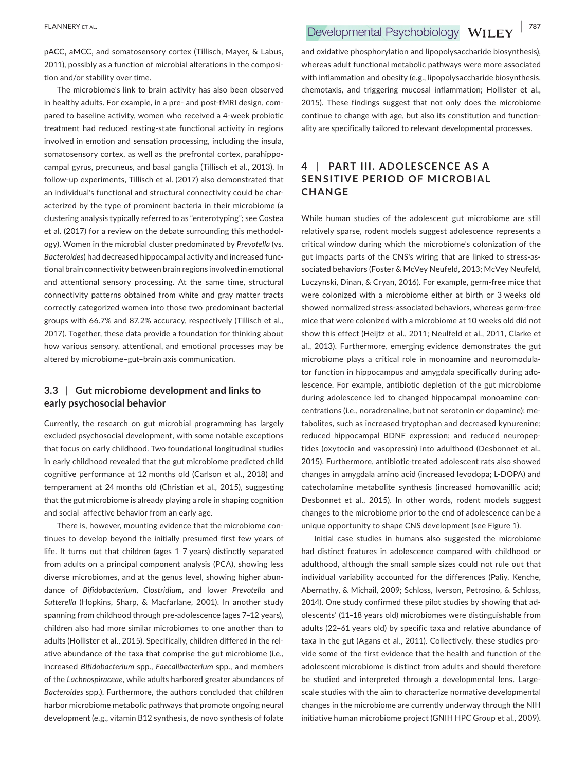pACC, aMCC, and somatosensory cortex (Tillisch, Mayer, & Labus, 2011), possibly as a function of microbial alterations in the composi‐ tion and/or stability over time.

The microbiome's link to brain activity has also been observed in healthy adults. For example, in a pre- and post-fMRI design, compared to baseline activity, women who received a 4‐week probiotic treatment had reduced resting‐state functional activity in regions involved in emotion and sensation processing, including the insula, somatosensory cortex, as well as the prefrontal cortex, parahippocampal gyrus, precuneus, and basal ganglia (Tillisch et al., 2013). In follow‐up experiments, Tillisch et al. (2017) also demonstrated that an individual's functional and structural connectivity could be characterized by the type of prominent bacteria in their microbiome (a clustering analysis typically referred to as "enterotyping"; see Costea et al. (2017) for a review on the debate surrounding this methodol‐ ogy). Women in the microbial cluster predominated by *Prevotella* (vs. *Bacteroides*) had decreased hippocampal activity and increased func‐ tional brain connectivity between brain regions involved in emotional and attentional sensory processing. At the same time, structural connectivity patterns obtained from white and gray matter tracts correctly categorized women into those two predominant bacterial groups with 66.7% and 87.2% accuracy, respectively (Tillisch et al., 2017). Together, these data provide a foundation for thinking about how various sensory, attentional, and emotional processes may be altered by microbiome–gut–brain axis communication.

### **3.3** | **Gut microbiome development and links to early psychosocial behavior**

Currently, the research on gut microbial programming has largely excluded psychosocial development, with some notable exceptions that focus on early childhood. Two foundational longitudinal studies in early childhood revealed that the gut microbiome predicted child cognitive performance at 12 months old (Carlson et al., 2018) and temperament at 24 months old (Christian et al., 2015), suggesting that the gut microbiome is already playing a role in shaping cognition and social–affective behavior from an early age.

There is, however, mounting evidence that the microbiome con‐ tinues to develop beyond the initially presumed first few years of life. It turns out that children (ages 1–7 years) distinctly separated from adults on a principal component analysis (PCA), showing less diverse microbiomes, and at the genus level, showing higher abun‐ dance of *Bifidobacterium*, *Clostridium*, and lower *Prevotella* and *Sutterella* (Hopkins, Sharp, & Macfarlane, 2001). In another study spanning from childhood through pre‐adolescence (ages 7–12 years), children also had more similar microbiomes to one another than to adults (Hollister et al., 2015). Specifically, children differed in the rel‐ ative abundance of the taxa that comprise the gut microbiome (i.e., increased *Bifidobacterium* spp*., Faecalibacterium* spp., and members of the *Lachnospiraceae*, while adults harbored greater abundances of *Bacteroides* spp.). Furthermore, the authors concluded that children harbor microbiome metabolic pathways that promote ongoing neural development (e.g., vitamin B12 synthesis, de novo synthesis of folate

and oxidative phosphorylation and lipopolysaccharide biosynthesis), whereas adult functional metabolic pathways were more associated with inflammation and obesity (e.g., lipopolysaccharide biosynthesis, chemotaxis, and triggering mucosal inflammation; Hollister et al., 2015). These findings suggest that not only does the microbiome continue to change with age, but also its constitution and function‐ ality are specifically tailored to relevant developmental processes.

## **4** | PART III. ADOLESCENCE AS A **SENSITIVE PERIOD OF MICROBIAL CHANGE**

While human studies of the adolescent gut microbiome are still relatively sparse, rodent models suggest adolescence represents a critical window during which the microbiome's colonization of the gut impacts parts of the CNS's wiring that are linked to stress‐as‐ sociated behaviors (Foster & McVey Neufeld, 2013; McVey Neufeld, Luczynski, Dinan, & Cryan, 2016). For example, germ‐free mice that were colonized with a microbiome either at birth or 3 weeks old showed normalized stress‐associated behaviors, whereas germ‐free mice that were colonized with a microbiome at 10 weeks old did not show this effect (Heijtz et al., 2011; Neulfeld et al., 2011, Clarke et al., 2013). Furthermore, emerging evidence demonstrates the gut microbiome plays a critical role in monoamine and neuromodula‐ tor function in hippocampus and amygdala specifically during adolescence. For example, antibiotic depletion of the gut microbiome during adolescence led to changed hippocampal monoamine con‐ centrations (i.e., noradrenaline, but not serotonin or dopamine); me‐ tabolites, such as increased tryptophan and decreased kynurenine; reduced hippocampal BDNF expression; and reduced neuropep‐ tides (oxytocin and vasopressin) into adulthood (Desbonnet et al., 2015). Furthermore, antibiotic‐treated adolescent rats also showed changes in amygdala amino acid (increased levodopa; L‐DOPA) and catecholamine metabolite synthesis (increased homovanillic acid; Desbonnet et al., 2015). In other words, rodent models suggest changes to the microbiome prior to the end of adolescence can be a unique opportunity to shape CNS development (see Figure 1).

Initial case studies in humans also suggested the microbiome had distinct features in adolescence compared with childhood or adulthood, although the small sample sizes could not rule out that individual variability accounted for the differences (Paliy, Kenche, Abernathy, & Michail, 2009; Schloss, Iverson, Petrosino, & Schloss, 2014). One study confirmed these pilot studies by showing that ad‐ olescents' (11–18 years old) microbiomes were distinguishable from adults (22–61 years old) by specific taxa and relative abundance of taxa in the gut (Agans et al., 2011). Collectively, these studies pro‐ vide some of the first evidence that the health and function of the adolescent microbiome is distinct from adults and should therefore be studied and interpreted through a developmental lens. Large‐ scale studies with the aim to characterize normative developmental changes in the microbiome are currently underway through the NIH initiative human microbiome project (GNIH HPC Group et al., 2009).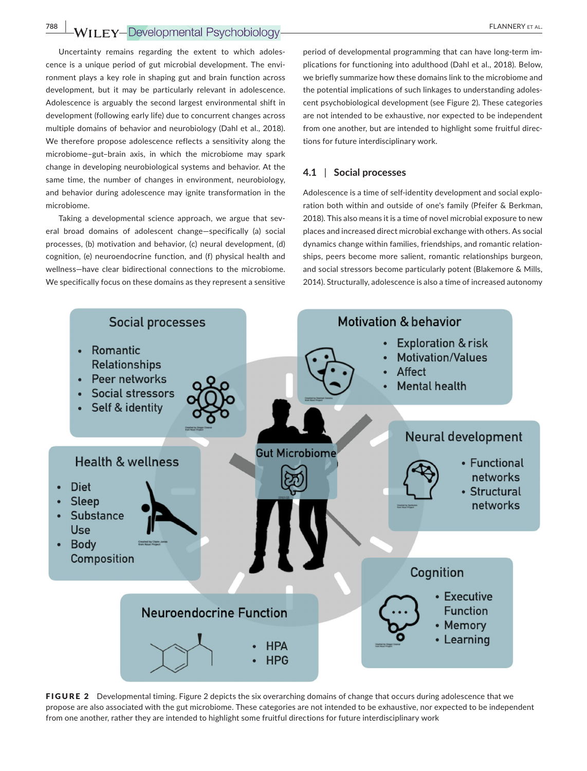## **788 WILEY-Developmental Psychobiology-** *PLANNERY ET AL. PLANNERY ET AL.*

Uncertainty remains regarding the extent to which adoles‐ cence is a unique period of gut microbial development. The environment plays a key role in shaping gut and brain function across development, but it may be particularly relevant in adolescence. Adolescence is arguably the second largest environmental shift in development (following early life) due to concurrent changes across multiple domains of behavior and neurobiology (Dahl et al., 2018). We therefore propose adolescence reflects a sensitivity along the microbiome–gut–brain axis, in which the microbiome may spark change in developing neurobiological systems and behavior. At the same time, the number of changes in environment, neurobiology, and behavior during adolescence may ignite transformation in the microbiome.

Taking a developmental science approach, we argue that several broad domains of adolescent change—specifically (a) social processes, (b) motivation and behavior, (c) neural development, (d) cognition, (e) neuroendocrine function, and (f) physical health and wellness—have clear bidirectional connections to the microbiome. We specifically focus on these domains as they represent a sensitive period of developmental programming that can have long‐term im‐ plications for functioning into adulthood (Dahl et al., 2018). Below, we briefly summarize how these domains link to the microbiome and the potential implications of such linkages to understanding adoles‐ cent psychobiological development (see Figure 2). These categories are not intended to be exhaustive, nor expected to be independent from one another, but are intended to highlight some fruitful directions for future interdisciplinary work.

### **4.1** | **Social processes**

Adolescence is a time of self-identity development and social exploration both within and outside of one's family (Pfeifer & Berkman, 2018). This also means it is a time of novel microbial exposure to new places and increased direct microbial exchange with others. As social dynamics change within families, friendships, and romantic relation‐ ships, peers become more salient, romantic relationships burgeon, and social stressors become particularly potent (Blakemore & Mills, 2014). Structurally, adolescence is also a time of increased autonomy



FIGURE 2 Developmental timing. Figure 2 depicts the six overarching domains of change that occurs during adolescence that we propose are also associated with the gut microbiome. These categories are not intended to be exhaustive, nor expected to be independent from one another, rather they are intended to highlight some fruitful directions for future interdisciplinary work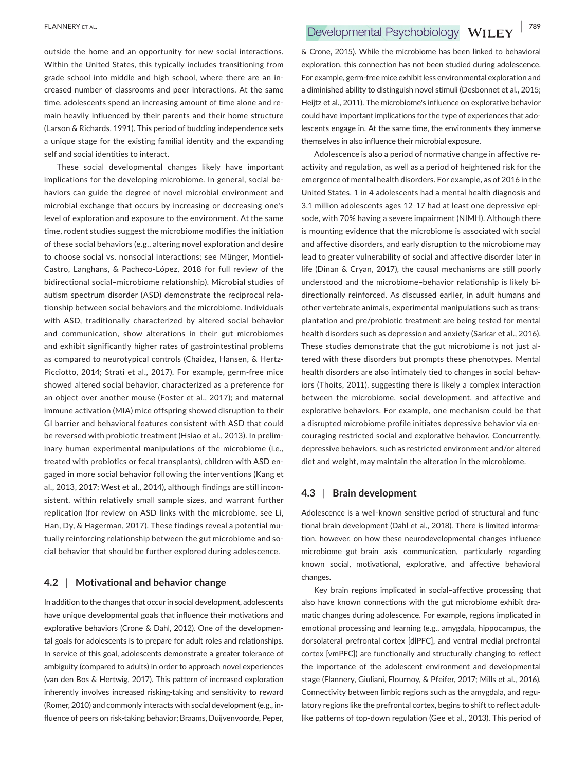outside the home and an opportunity for new social interactions. Within the United States, this typically includes transitioning from grade school into middle and high school, where there are an in‐

creased number of classrooms and peer interactions. At the same time, adolescents spend an increasing amount of time alone and re‐ main heavily influenced by their parents and their home structure (Larson & Richards, 1991). This period of budding independence sets a unique stage for the existing familial identity and the expanding self and social identities to interact.

These social developmental changes likely have important implications for the developing microbiome. In general, social behaviors can guide the degree of novel microbial environment and microbial exchange that occurs by increasing or decreasing one's level of exploration and exposure to the environment. At the same time, rodent studies suggest the microbiome modifies the initiation of these social behaviors (e.g., altering novel exploration and desire to choose social vs. nonsocial interactions; see Münger, Montiel‐ Castro, Langhans, & Pacheco‐López, 2018 for full review of the bidirectional social–microbiome relationship). Microbial studies of autism spectrum disorder (ASD) demonstrate the reciprocal rela‐ tionship between social behaviors and the microbiome. Individuals with ASD, traditionally characterized by altered social behavior and communication, show alterations in their gut microbiomes and exhibit significantly higher rates of gastrointestinal problems as compared to neurotypical controls (Chaidez, Hansen, & Hertz-Picciotto, 2014; Strati et al., 2017). For example, germ‐free mice showed altered social behavior, characterized as a preference for an object over another mouse (Foster et al., 2017); and maternal immune activation (MIA) mice offspring showed disruption to their GI barrier and behavioral features consistent with ASD that could be reversed with probiotic treatment (Hsiao et al., 2013). In prelim‐ inary human experimental manipulations of the microbiome (i.e., treated with probiotics or fecal transplants), children with ASD en‐ gaged in more social behavior following the interventions (Kang et al., 2013, 2017; West et al., 2014), although findings are still incon‐ sistent, within relatively small sample sizes, and warrant further replication (for review on ASD links with the microbiome, see Li, Han, Dy, & Hagerman, 2017). These findings reveal a potential mu‐ tually reinforcing relationship between the gut microbiome and so‐ cial behavior that should be further explored during adolescence.

### **4.2** | **Motivational and behavior change**

In addition to the changes that occur in social development, adolescents have unique developmental goals that influence their motivations and explorative behaviors (Crone & Dahl, 2012). One of the developmen‐ tal goals for adolescents is to prepare for adult roles and relationships. In service of this goal, adolescents demonstrate a greater tolerance of ambiguity (compared to adults) in order to approach novel experiences (van den Bos & Hertwig, 2017). This pattern of increased exploration inherently involves increased risking-taking and sensitivity to reward (Romer, 2010) and commonly interacts with social development (e.g., in‐ fluence of peers on risk‐taking behavior; Braams, Duijvenvoorde, Peper,

& Crone, 2015). While the microbiome has been linked to behavioral exploration, this connection has not been studied during adolescence. For example, germ‐free mice exhibit less environmental exploration and a diminished ability to distinguish novel stimuli (Desbonnet et al., 2015; Heijtz et al., 2011). The microbiome's influence on explorative behavior could have important implications for the type of experiences that adolescents engage in. At the same time, the environments they immerse themselves in also influence their microbial exposure.

Adolescence is also a period of normative change in affective re‐ activity and regulation, as well as a period of heightened risk for the emergence of mental health disorders. For example, as of 2016 in the United States, 1 in 4 adolescents had a mental health diagnosis and 3.1 million adolescents ages 12–17 had at least one depressive epi‐ sode, with 70% having a severe impairment (NIMH). Although there is mounting evidence that the microbiome is associated with social and affective disorders, and early disruption to the microbiome may lead to greater vulnerability of social and affective disorder later in life (Dinan & Cryan, 2017), the causal mechanisms are still poorly understood and the microbiome–behavior relationship is likely bi‐ directionally reinforced. As discussed earlier, in adult humans and other vertebrate animals, experimental manipulations such as trans‐ plantation and pre/probiotic treatment are being tested for mental health disorders such as depression and anxiety (Sarkar et al., 2016). These studies demonstrate that the gut microbiome is not just al‐ tered with these disorders but prompts these phenotypes. Mental health disorders are also intimately tied to changes in social behaviors (Thoits, 2011), suggesting there is likely a complex interaction between the microbiome, social development, and affective and explorative behaviors. For example, one mechanism could be that a disrupted microbiome profile initiates depressive behavior via en‐ couraging restricted social and explorative behavior. Concurrently, depressive behaviors, such as restricted environment and/or altered diet and weight, may maintain the alteration in the microbiome.

### **4.3** | **Brain development**

Adolescence is a well-known sensitive period of structural and functional brain development (Dahl et al., 2018). There is limited informa‐ tion, however, on how these neurodevelopmental changes influence microbiome–gut–brain axis communication, particularly regarding known social, motivational, explorative, and affective behavioral changes.

Key brain regions implicated in social–affective processing that also have known connections with the gut microbiome exhibit dra‐ matic changes during adolescence. For example, regions implicated in emotional processing and learning (e.g., amygdala, hippocampus, the dorsolateral prefrontal cortex [dlPFC], and ventral medial prefrontal cortex [vmPFC]) are functionally and structurally changing to reflect the importance of the adolescent environment and developmental stage (Flannery, Giuliani, Flournoy, & Pfeifer, 2017; Mills et al., 2016). Connectivity between limbic regions such as the amygdala, and regu‐ latory regions like the prefrontal cortex, begins to shift to reflect adult‐ like patterns of top‐down regulation (Gee et al., 2013). This period of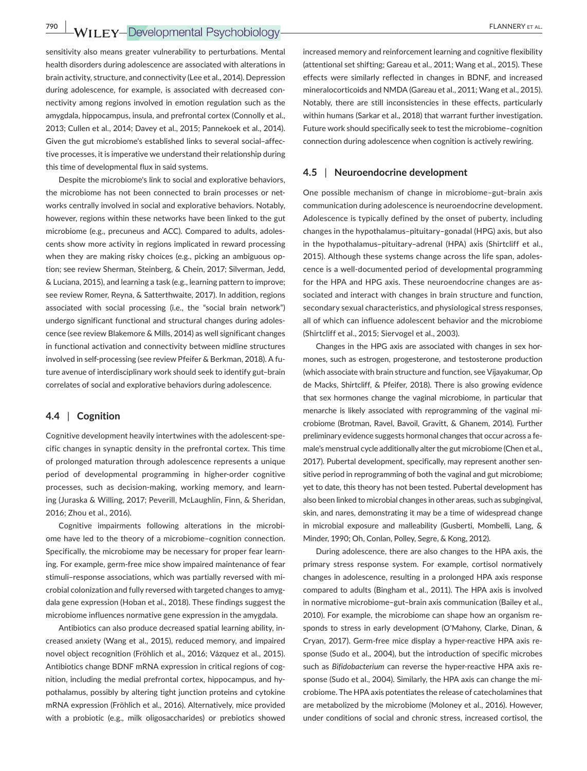sensitivity also means greater vulnerability to perturbations. Mental health disorders during adolescence are associated with alterations in brain activity, structure, and connectivity (Lee et al., 2014). Depression during adolescence, for example, is associated with decreased con‐ nectivity among regions involved in emotion regulation such as the amygdala, hippocampus, insula, and prefrontal cortex (Connolly et al., 2013; Cullen et al., 2014; Davey et al., 2015; Pannekoek et al., 2014). Given the gut microbiome's established links to several social–affec‐ tive processes, it is imperative we understand their relationship during this time of developmental flux in said systems.

Despite the microbiome's link to social and explorative behaviors, the microbiome has not been connected to brain processes or networks centrally involved in social and explorative behaviors. Notably, however, regions within these networks have been linked to the gut microbiome (e.g., precuneus and ACC). Compared to adults, adoles‐ cents show more activity in regions implicated in reward processing when they are making risky choices (e.g., picking an ambiguous option; see review Sherman, Steinberg, & Chein, 2017; Silverman, Jedd, & Luciana, 2015), and learning a task (e.g., learning pattern to improve; see review Romer, Reyna, & Satterthwaite, 2017). In addition, regions associated with social processing (i.e., the "social brain network") undergo significant functional and structural changes during adoles‐ cence (see review Blakemore & Mills, 2014) as well significant changes in functional activation and connectivity between midline structures involved in self-processing (see review Pfeifer & Berkman, 2018). A future avenue of interdisciplinary work should seek to identify gut–brain correlates of social and explorative behaviors during adolescence.

### **4.4** | **Cognition**

Cognitive development heavily intertwines with the adolescent‐spe‐ cific changes in synaptic density in the prefrontal cortex. This time of prolonged maturation through adolescence represents a unique period of developmental programming in higher‐order cognitive processes, such as decision-making, working memory, and learning (Juraska & Willing, 2017; Peverill, McLaughlin, Finn, & Sheridan, 2016; Zhou et al., 2016).

Cognitive impairments following alterations in the microbi‐ ome have led to the theory of a microbiome–cognition connection. Specifically, the microbiome may be necessary for proper fear learn‐ ing. For example, germ‐free mice show impaired maintenance of fear stimuli–response associations, which was partially reversed with mi‐ crobial colonization and fully reversed with targeted changes to amyg‐ dala gene expression (Hoban et al., 2018). These findings suggest the microbiome influences normative gene expression in the amygdala.

Antibiotics can also produce decreased spatial learning ability, in‐ creased anxiety (Wang et al., 2015), reduced memory, and impaired novel object recognition (Fröhlich et al., 2016; Vázquez et al., 2015). Antibiotics change BDNF mRNA expression in critical regions of cog‐ nition, including the medial prefrontal cortex, hippocampus, and hy‐ pothalamus, possibly by altering tight junction proteins and cytokine mRNA expression (Fröhlich et al., 2016). Alternatively, mice provided with a probiotic (e.g., milk oligosaccharides) or prebiotics showed

increased memory and reinforcement learning and cognitive flexibility (attentional set shifting; Gareau et al., 2011; Wang et al., 2015). These effects were similarly reflected in changes in BDNF, and increased mineralocorticoids and NMDA (Gareau et al., 2011; Wang et al., 2015). Notably, there are still inconsistencies in these effects, particularly within humans (Sarkar et al., 2018) that warrant further investigation. Future work should specifically seek to test the microbiome–cognition connection during adolescence when cognition is actively rewiring.

### **4.5** | **Neuroendocrine development**

One possible mechanism of change in microbiome–gut–brain axis communication during adolescence is neuroendocrine development. Adolescence is typically defined by the onset of puberty, including changes in the hypothalamus–pituitary–gonadal (HPG) axis, but also in the hypothalamus–pituitary–adrenal (HPA) axis (Shirtcliff et al., 2015). Although these systems change across the life span, adoles‐ cence is a well‐documented period of developmental programming for the HPA and HPG axis. These neuroendocrine changes are as‐ sociated and interact with changes in brain structure and function, secondary sexual characteristics, and physiological stress responses, all of which can influence adolescent behavior and the microbiome (Shirtcliff et al., 2015; Siervogel et al., 2003).

Changes in the HPG axis are associated with changes in sex hor‐ mones, such as estrogen, progesterone, and testosterone production (which associate with brain structure and function, see Vijayakumar, Op de Macks, Shirtcliff, & Pfeifer, 2018). There is also growing evidence that sex hormones change the vaginal microbiome, in particular that menarche is likely associated with reprogramming of the vaginal mi‐ crobiome (Brotman, Ravel, Bavoil, Gravitt, & Ghanem, 2014). Further preliminary evidence suggests hormonal changes that occur across a fe‐ male's menstrual cycle additionally alter the gut microbiome (Chen et al., 2017). Pubertal development, specifically, may represent another sensitive period in reprogramming of both the vaginal and gut microbiome; yet to date, this theory has not been tested. Pubertal development has also been linked to microbial changes in other areas, such as subgingival, skin, and nares, demonstrating it may be a time of widespread change in microbial exposure and malleability (Gusberti, Mombelli, Lang, & Minder, 1990; Oh, Conlan, Polley, Segre, & Kong, 2012).

During adolescence, there are also changes to the HPA axis, the primary stress response system. For example, cortisol normatively changes in adolescence, resulting in a prolonged HPA axis response compared to adults (Bingham et al., 2011). The HPA axis is involved in normative microbiome–gut–brain axis communication (Bailey et al., 2010). For example, the microbiome can shape how an organism re‐ sponds to stress in early development (O'Mahony, Clarke, Dinan, & Cryan, 2017). Germ‐free mice display a hyper‐reactive HPA axis re‐ sponse (Sudo et al., 2004), but the introduction of specific microbes such as *Bifidobacterium* can reverse the hyper-reactive HPA axis response (Sudo et al., 2004). Similarly, the HPA axis can change the mi‐ crobiome. The HPA axis potentiates the release of catecholamines that are metabolized by the microbiome (Moloney et al., 2016). However, under conditions of social and chronic stress, increased cortisol, the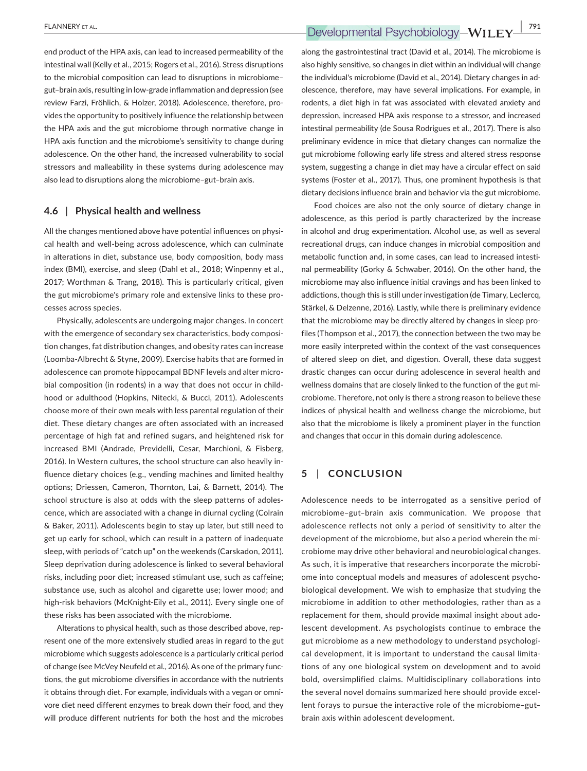end product of the HPA axis, can lead to increased permeability of the intestinal wall (Kelly et al., 2015; Rogers et al., 2016). Stress disruptions to the microbial composition can lead to disruptions in microbiome– gut–brain axis, resulting in low‐grade inflammation and depression (see review Farzi, Fröhlich, & Holzer, 2018). Adolescence, therefore, pro‐ vides the opportunity to positively influence the relationship between the HPA axis and the gut microbiome through normative change in HPA axis function and the microbiome's sensitivity to change during adolescence. On the other hand, the increased vulnerability to social stressors and malleability in these systems during adolescence may also lead to disruptions along the microbiome–gut–brain axis.

### **4.6** | **Physical health and wellness**

All the changes mentioned above have potential influences on physical health and well‐being across adolescence, which can culminate in alterations in diet, substance use, body composition, body mass index (BMI), exercise, and sleep (Dahl et al., 2018; Winpenny et al., 2017; Worthman & Trang, 2018). This is particularly critical, given the gut microbiome's primary role and extensive links to these pro‐ cesses across species.

Physically, adolescents are undergoing major changes. In concert with the emergence of secondary sex characteristics, body composition changes, fat distribution changes, and obesity rates can increase (Loomba‐Albrecht & Styne, 2009). Exercise habits that are formed in adolescence can promote hippocampal BDNF levels and alter microbial composition (in rodents) in a way that does not occur in child‐ hood or adulthood (Hopkins, Nitecki, & Bucci, 2011). Adolescents choose more of their own meals with less parental regulation of their diet. These dietary changes are often associated with an increased percentage of high fat and refined sugars, and heightened risk for increased BMI (Andrade, Previdelli, Cesar, Marchioni, & Fisberg, 2016). In Western cultures, the school structure can also heavily in‐ fluence dietary choices (e.g., vending machines and limited healthy options; Driessen, Cameron, Thornton, Lai, & Barnett, 2014). The school structure is also at odds with the sleep patterns of adolescence, which are associated with a change in diurnal cycling (Colrain & Baker, 2011). Adolescents begin to stay up later, but still need to get up early for school, which can result in a pattern of inadequate sleep, with periods of "catch up" on the weekends (Carskadon, 2011). Sleep deprivation during adolescence is linked to several behavioral risks, including poor diet; increased stimulant use, such as caffeine; substance use, such as alcohol and cigarette use; lower mood; and high-risk behaviors (McKnight-Eily et al., 2011). Every single one of these risks has been associated with the microbiome.

Alterations to physical health, such as those described above, rep‐ resent one of the more extensively studied areas in regard to the gut microbiome which suggests adolescence is a particularly critical period of change (see McVey Neufeld et al., 2016). As one of the primary func‐ tions, the gut microbiome diversifies in accordance with the nutrients it obtains through diet. For example, individuals with a vegan or omni‐ vore diet need different enzymes to break down their food, and they will produce different nutrients for both the host and the microbes

along the gastrointestinal tract (David et al., 2014). The microbiome is also highly sensitive, so changes in diet within an individual will change the individual's microbiome (David et al., 2014). Dietary changes in ad‐ olescence, therefore, may have several implications. For example, in rodents, a diet high in fat was associated with elevated anxiety and depression, increased HPA axis response to a stressor, and increased intestinal permeability (de Sousa Rodrigues et al., 2017). There is also preliminary evidence in mice that dietary changes can normalize the gut microbiome following early life stress and altered stress response system, suggesting a change in diet may have a circular effect on said systems (Foster et al., 2017). Thus, one prominent hypothesis is that dietary decisions influence brain and behavior via the gut microbiome.

Food choices are also not the only source of dietary change in adolescence, as this period is partly characterized by the increase in alcohol and drug experimentation. Alcohol use, as well as several recreational drugs, can induce changes in microbial composition and metabolic function and, in some cases, can lead to increased intesti‐ nal permeability (Gorky & Schwaber, 2016). On the other hand, the microbiome may also influence initial cravings and has been linked to addictions, though this is still under investigation (de Timary, Leclercq, Stärkel, & Delzenne, 2016). Lastly, while there is preliminary evidence that the microbiome may be directly altered by changes in sleep pro‐ files (Thompson et al., 2017), the connection between the two may be more easily interpreted within the context of the vast consequences of altered sleep on diet, and digestion. Overall, these data suggest drastic changes can occur during adolescence in several health and wellness domains that are closely linked to the function of the gut mi‐ crobiome. Therefore, not only is there a strong reason to believe these indices of physical health and wellness change the microbiome, but also that the microbiome is likely a prominent player in the function and changes that occur in this domain during adolescence.

## **5** | **CONCLUSION**

Adolescence needs to be interrogated as a sensitive period of microbiome–gut–brain axis communication. We propose that adolescence reflects not only a period of sensitivity to alter the development of the microbiome, but also a period wherein the mi‐ crobiome may drive other behavioral and neurobiological changes. As such, it is imperative that researchers incorporate the microbi‐ ome into conceptual models and measures of adolescent psycho‐ biological development. We wish to emphasize that studying the microbiome in addition to other methodologies, rather than as a replacement for them, should provide maximal insight about ado‐ lescent development. As psychologists continue to embrace the gut microbiome as a new methodology to understand psychologi‐ cal development, it is important to understand the causal limitations of any one biological system on development and to avoid bold, oversimplified claims. Multidisciplinary collaborations into the several novel domains summarized here should provide excel‐ lent forays to pursue the interactive role of the microbiome–gut– brain axis within adolescent development.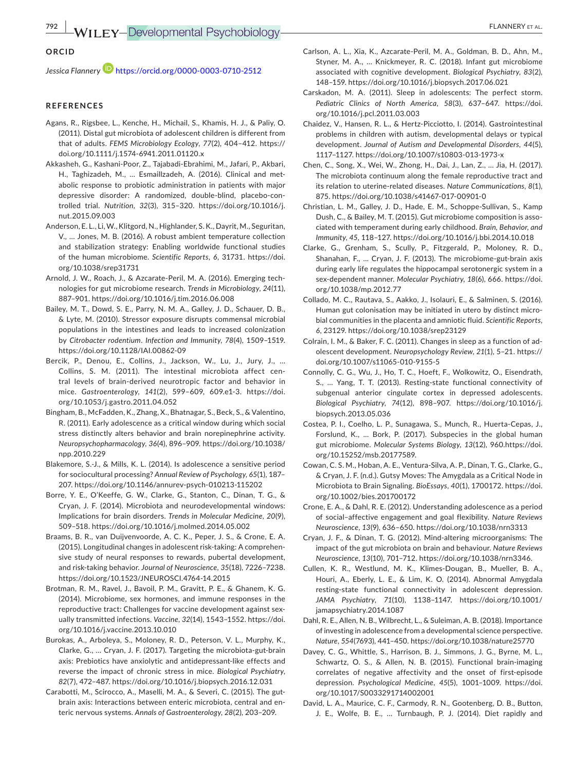### **ORCID**

*Jessica Flannery* <https://orcid.org/0000-0003-0710-2512>

#### **REFERENCES**

- Agans, R., Rigsbee, L., Kenche, H., Michail, S., Khamis, H. J., & Paliy, O. (2011). Distal gut microbiota of adolescent children is different from that of adults. *FEMS Microbiology Ecology*, *77*(2), 404–412. [https://](https://doi.org/10.1111/j.1574-6941.2011.01120.x) [doi.org/10.1111/j.1574-6941.2011.01120.x](https://doi.org/10.1111/j.1574-6941.2011.01120.x)
- Akkasheh, G., Kashani‐Poor, Z., Tajabadi‐Ebrahimi, M., Jafari, P., Akbari, H., Taghizadeh, M., … Esmaillzadeh, A. (2016). Clinical and met‐ abolic response to probiotic administration in patients with major depressive disorder: A randomized, double‐blind, placebo‐con‐ trolled trial. *Nutrition*, *32*(3), 315–320. [https://doi.org/10.1016/j.](https://doi.org/10.1016/j.nut.2015.09.003) [nut.2015.09.003](https://doi.org/10.1016/j.nut.2015.09.003)
- Anderson, E. L., Li, W., Klitgord, N., Highlander, S. K., Dayrit, M., Seguritan, V., … Jones, M. B. (2016). A robust ambient temperature collection and stabilization strategy: Enabling worldwide functional studies of the human microbiome. *Scientific Reports*, *6*, 31731. [https://doi.](https://doi.org/10.1038/srep31731) [org/10.1038/srep31731](https://doi.org/10.1038/srep31731)
- Arnold, J. W., Roach, J., & Azcarate‐Peril, M. A. (2016). Emerging tech‐ nologies for gut microbiome research. *Trends in Microbiology*, *24*(11), 887–901.<https://doi.org/10.1016/j.tim.2016.06.008>
- Bailey, M. T., Dowd, S. E., Parry, N. M. A., Galley, J. D., Schauer, D. B., & Lyte, M. (2010). Stressor exposure disrupts commensal microbial populations in the intestines and leads to increased colonization by *Citrobacter rodentium*. *Infection and Immunity*, *78*(4), 1509–1519. <https://doi.org/10.1128/IAI.00862-09>
- Bercik, P., Denou, E., Collins, J., Jackson, W., Lu, J., Jury, J., ... Collins, S. M. (2011). The intestinal microbiota affect cen‐ tral levels of brain-derived neurotropic factor and behavior in mice. *Gastroenterology*, *141*(2), 599–609, 609.e1-3. https://doi. org/10.1053/j.gastro.2011.04.052
- Bingham, B., McFadden, K., Zhang, X., Bhatnagar, S., Beck, S., & Valentino, R. (2011). Early adolescence as a critical window during which social stress distinctly alters behavior and brain norepinephrine activity. *Neuropsychopharmacology*, *36*(4), 896–909. [https://doi.org/10.1038/](https://doi.org/10.1038/npp.2010.229) [npp.2010.229](https://doi.org/10.1038/npp.2010.229)
- Blakemore, S.‐J., & Mills, K. L. (2014). Is adolescence a sensitive period for sociocultural processing? *Annual Review of Psychology*, *65*(1), 187– 207. <https://doi.org/10.1146/annurev-psych-010213-115202>
- Borre, Y. E., O'Keeffe, G. W., Clarke, G., Stanton, C., Dinan, T. G., & Cryan, J. F. (2014). Microbiota and neurodevelopmental windows: Implications for brain disorders. *Trends in Molecular Medicine*, *20*(9), 509–518.<https://doi.org/10.1016/j.molmed.2014.05.002>
- Braams, B. R., van Duijvenvoorde, A. C. K., Peper, J. S., & Crone, E. A. (2015). Longitudinal changes in adolescent risk‐taking: A comprehen‐ sive study of neural responses to rewards, pubertal development, and risk‐taking behavior. *Journal of Neuroscience*, *35*(18), 7226–7238. <https://doi.org/10.1523/JNEUROSCI.4764-14.2015>
- Brotman, R. M., Ravel, J., Bavoil, P. M., Gravitt, P. E., & Ghanem, K. G. (2014). Microbiome, sex hormones, and immune responses in the reproductive tract: Challenges for vaccine development against sex‐ ually transmitted infections. *Vaccine*, *32*(14), 1543–1552. [https://doi.](https://doi.org/10.1016/j.vaccine.2013.10.010) [org/10.1016/j.vaccine.2013.10.010](https://doi.org/10.1016/j.vaccine.2013.10.010)
- Burokas, A., Arboleya, S., Moloney, R. D., Peterson, V. L., Murphy, K., Clarke, G., … Cryan, J. F. (2017). Targeting the microbiota‐gut‐brain axis: Prebiotics have anxiolytic and antidepressant‐like effects and reverse the impact of chronic stress in mice. *Biological Psychiatry*, *82*(7), 472–487. <https://doi.org/10.1016/j.biopsych.2016.12.031>
- Carabotti, M., Scirocco, A., Maselli, M. A., & Severi, C. (2015). The gut‐ brain axis: Interactions between enteric microbiota, central and en‐ teric nervous systems. *Annals of Gastroenterology*, *28*(2), 203–209.
- Carlson, A. L., Xia, K., Azcarate‐Peril, M. A., Goldman, B. D., Ahn, M., Styner, M. A., … Knickmeyer, R. C. (2018). Infant gut microbiome associated with cognitive development. *Biological Psychiatry*, *83*(2), 148–159.<https://doi.org/10.1016/j.biopsych.2017.06.021>
- Carskadon, M. A. (2011). Sleep in adolescents: The perfect storm. *Pediatric Clinics of North America*, *58*(3), 637–647. [https://doi.](https://doi.org/10.1016/j.pcl.2011.03.003) [org/10.1016/j.pcl.2011.03.003](https://doi.org/10.1016/j.pcl.2011.03.003)
- Chaidez, V., Hansen, R. L., & Hertz-Picciotto, I. (2014). Gastrointestinal problems in children with autism, developmental delays or typical development. *Journal of Autism and Developmental Disorders*, *44*(5), 1117–1127. <https://doi.org/10.1007/s10803-013-1973-x>
- Chen, C., Song, X., Wei, W., Zhong, H., Dai, J., Lan, Z., … Jia, H. (2017). The microbiota continuum along the female reproductive tract and its relation to uterine‐related diseases. *Nature Communications*, *8*(1), 875.<https://doi.org/10.1038/s41467-017-00901-0>
- Christian, L. M., Galley, J. D., Hade, E. M., Schoppe‐Sullivan, S., Kamp Dush, C., & Bailey, M. T. (2015). Gut microbiome composition is associated with temperament during early childhood. *Brain, Behavior, and Immunity*, *45*, 118–127.<https://doi.org/10.1016/j.bbi.2014.10.018>
- Clarke, G., Grenham, S., Scully, P., Fitzgerald, P., Moloney, R. D., Shanahan, F., ... Cryan, J. F. (2013). The microbiome-gut-brain axis during early life regulates the hippocampal serotonergic system in a sex-dependent manner. *Molecular Psychiatry*, *18*(6), 666. [https://doi.](https://doi.org/10.1038/mp.2012.77) [org/10.1038/mp.2012.77](https://doi.org/10.1038/mp.2012.77)
- Collado, M. C., Rautava, S., Aakko, J., Isolauri, E., & Salminen, S. (2016). Human gut colonisation may be initiated in utero by distinct micro‐ bial communities in the placenta and amniotic fluid. *Scientific Reports*, *6*, 23129.<https://doi.org/10.1038/srep23129>
- Colrain, I. M., & Baker, F. C. (2011). Changes in sleep as a function of ad‐ olescent development. *Neuropsychology Review*, *21*(1), 5–21. [https://](https://doi.org/10.1007/s11065-010-9155-5) [doi.org/10.1007/s11065-010-9155-5](https://doi.org/10.1007/s11065-010-9155-5)
- Connolly, C. G., Wu, J., Ho, T. C., Hoeft, F., Wolkowitz, O., Eisendrath, S., … Yang, T. T. (2013). Resting‐state functional connectivity of subgenual anterior cingulate cortex in depressed adolescents. *Biological Psychiatry*, *74*(12), 898–907. [https://doi.org/10.1016/j.](https://doi.org/10.1016/j.biopsych.2013.05.036) [biopsych.2013.05.036](https://doi.org/10.1016/j.biopsych.2013.05.036)
- Costea, P. I., Coelho, L. P., Sunagawa, S., Munch, R., Huerta-Cepas, J., Forslund, K., ... Bork, P. (2017). Subspecies in the global human gut microbiome. *Molecular Systems Biology*, *13*(12), 960.[https://doi.](https://doi.org/10.15252/msb.20177589) [org/10.15252/msb.20177589.](https://doi.org/10.15252/msb.20177589)
- Cowan, C. S. M., Hoban, A. E., Ventura-Silva, A. P., Dinan, T. G., Clarke, G., & Cryan, J. F. (n.d.). Gutsy Moves: The Amygdala as a Critical Node in Microbiota to Brain Signaling. *BioEssays*, *40*(1), 1700172. [https://doi.](https://doi.org/10.1002/bies.201700172) [org/10.1002/bies.201700172](https://doi.org/10.1002/bies.201700172)
- Crone, E. A., & Dahl, R. E. (2012). Understanding adolescence as a period of social–affective engagement and goal flexibility. *Nature Reviews Neuroscience*, *13*(9), 636–650. <https://doi.org/10.1038/nrn3313>
- Cryan, J. F., & Dinan, T. G. (2012). Mind-altering microorganisms: The impact of the gut microbiota on brain and behaviour. *Nature Reviews Neuroscience*, *13*(10), 701–712. [https://doi.org/10.1038/nrn3346.](https://doi.org/10.1038/nrn3346)
- Cullen, K. R., Westlund, M. K., Klimes‐Dougan, B., Mueller, B. A., Houri, A., Eberly, L. E., & Lim, K. O. (2014). Abnormal Amygdala resting‐state functional connectivity in adolescent depression. *JAMA Psychiatry*, *71*(10), 1138–1147. [https://doi.org/10.1001/](https://doi.org/10.1001/jamapsychiatry.2014.1087) [jamapsychiatry.2014.1087](https://doi.org/10.1001/jamapsychiatry.2014.1087)
- Dahl, R. E., Allen, N. B., Wilbrecht, L., & Suleiman, A. B. (2018). Importance of investing in adolescence from a developmental science perspective. *Nature*, *554*(7693), 441–450. <https://doi.org/10.1038/nature25770>
- Davey, C. G., Whittle, S., Harrison, B. J., Simmons, J. G., Byrne, M. L., Schwartz, O. S., & Allen, N. B. (2015). Functional brain‐imaging correlates of negative affectivity and the onset of first-episode depression. *Psychological Medicine*, *45*(5), 1001–1009. [https://doi.](https://doi.org/10.1017/S0033291714002001) [org/10.1017/S0033291714002001](https://doi.org/10.1017/S0033291714002001)
- David, L. A., Maurice, C. F., Carmody, R. N., Gootenberg, D. B., Button, J. E., Wolfe, B. E., … Turnbaugh, P. J. (2014). Diet rapidly and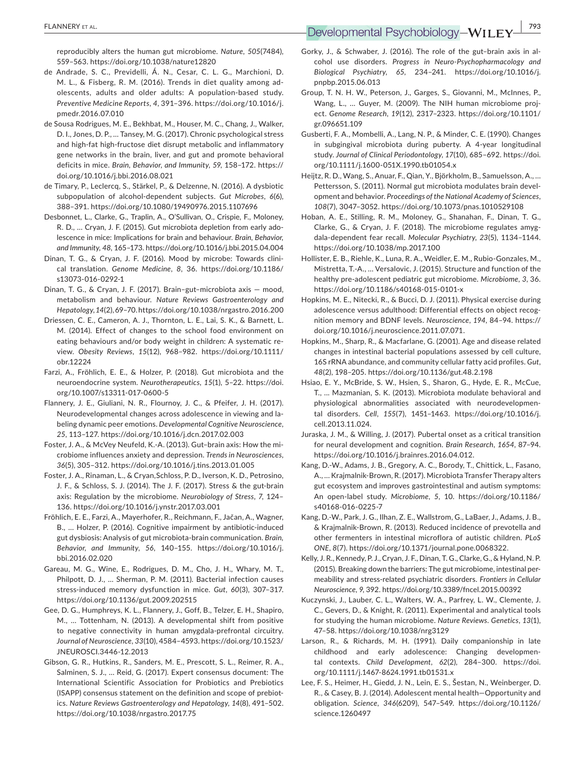reproducibly alters the human gut microbiome. *Nature*, *505*(7484), 559–563. <https://doi.org/10.1038/nature12820>

- de Andrade, S. C., Previdelli, Á. N., Cesar, C. L. G., Marchioni, D. M. L., & Fisberg, R. M. (2016). Trends in diet quality among ad‐ olescents, adults and older adults: A population‐based study. *Preventive Medicine Reports*, *4*, 391–396. [https://doi.org/10.1016/j.](https://doi.org/10.1016/j.pmedr.2016.07.010) [pmedr.2016.07.010](https://doi.org/10.1016/j.pmedr.2016.07.010)
- de Sousa Rodrigues, M. E., Bekhbat, M., Houser, M. C., Chang, J., Walker, D. I., Jones, D. P., … Tansey, M. G. (2017). Chronic psychological stress and high‐fat high‐fructose diet disrupt metabolic and inflammatory gene networks in the brain, liver, and gut and promote behavioral deficits in mice. *Brain, Behavior, and Immunity*, *59*, 158–172. [https://](https://doi.org/10.1016/j.bbi.2016.08.021) [doi.org/10.1016/j.bbi.2016.08.021](https://doi.org/10.1016/j.bbi.2016.08.021)
- de Timary, P., Leclercq, S., Stärkel, P., & Delzenne, N. (2016). A dysbiotic subpopulation of alcohol‐dependent subjects. *Gut Microbes*, *6*(6), 388–391.<https://doi.org/10.1080/19490976.2015.1107696>
- Desbonnet, L., Clarke, G., Traplin, A., O'Sullivan, O., Crispie, F., Moloney, R. D., … Cryan, J. F. (2015). Gut microbiota depletion from early ado‐ lescence in mice: Implications for brain and behaviour. *Brain, Behavior, and Immunity*, *48*, 165–173.<https://doi.org/10.1016/j.bbi.2015.04.004>
- Dinan, T. G., & Cryan, J. F. (2016). Mood by microbe: Towards clini‐ cal translation. *Genome Medicine*, *8*, 36. [https://doi.org/10.1186/](https://doi.org/10.1186/s13073-016-0292-1) [s13073-016-0292-1](https://doi.org/10.1186/s13073-016-0292-1)
- Dinan, T. G., & Cryan, J. F. (2017). Brain–gut–microbiota axis mood, metabolism and behaviour. *Nature Reviews Gastroenterology and Hepatology*, *14*(2), 69–70.<https://doi.org/10.1038/nrgastro.2016.200>
- Driessen, C. E., Cameron, A. J., Thornton, L. E., Lai, S. K., & Barnett, L. M. (2014). Effect of changes to the school food environment on eating behaviours and/or body weight in children: A systematic re‐ view. *Obesity Reviews*, *15*(12), 968–982. [https://doi.org/10.1111/](https://doi.org/10.1111/obr.12224) [obr.12224](https://doi.org/10.1111/obr.12224)
- Farzi, A., Fröhlich, E. E., & Holzer, P. (2018). Gut microbiota and the neuroendocrine system. *Neurotherapeutics*, *15*(1), 5–22. [https://doi.](https://doi.org/10.1007/s13311-017-0600-5) [org/10.1007/s13311-017-0600-5](https://doi.org/10.1007/s13311-017-0600-5)
- Flannery, J. E., Giuliani, N. R., Flournoy, J. C., & Pfeifer, J. H. (2017). Neurodevelopmental changes across adolescence in viewing and la‐ beling dynamic peer emotions. *Developmental Cognitive Neuroscience*, *25*, 113–127. <https://doi.org/10.1016/j.dcn.2017.02.003>
- Foster, J. A., & McVey Neufeld, K.‐A. (2013). Gut–brain axis: How the mi‐ crobiome influences anxiety and depression. *Trends in Neurosciences*, *36*(5), 305–312. <https://doi.org/10.1016/j.tins.2013.01.005>
- Foster, J. A., Rinaman, L., & Cryan,Schloss, P. D., Iverson, K. D., Petrosino, J. F., & Schloss, S. J. (2014). The J. F. (2017). Stress & the gut‐brain axis: Regulation by the microbiome. *Neurobiology of Stress*, *7*, 124– 136. <https://doi.org/10.1016/j.ynstr.2017.03.001>
- Fröhlich, E. E., Farzi, A., Mayerhofer, R., Reichmann, F., Jačan, A., Wagner, B., … Holzer, P. (2016). Cognitive impairment by antibiotic‐induced gut dysbiosis: Analysis of gut microbiota‐brain communication. *Brain, Behavior, and Immunity*, *56*, 140–155. [https://doi.org/10.1016/j.](https://doi.org/10.1016/j.bbi.2016.02.020) [bbi.2016.02.020](https://doi.org/10.1016/j.bbi.2016.02.020)
- Gareau, M. G., Wine, E., Rodrigues, D. M., Cho, J. H., Whary, M. T., Philpott, D. J., … Sherman, P. M. (2011). Bacterial infection causes stress‐induced memory dysfunction in mice. *Gut*, *60*(3), 307–317. <https://doi.org/10.1136/gut.2009.202515>
- Gee, D. G., Humphreys, K. L., Flannery, J., Goff, B., Telzer, E. H., Shapiro, M., … Tottenham, N. (2013). A developmental shift from positive to negative connectivity in human amygdala‐prefrontal circuitry. *Journal of Neuroscience*, *33*(10), 4584–4593. [https://doi.org/10.1523/](https://doi.org/10.1523/JNEUROSCI.3446-12.2013) [JNEUROSCI.3446-12.2013](https://doi.org/10.1523/JNEUROSCI.3446-12.2013)
- Gibson, G. R., Hutkins, R., Sanders, M. E., Prescott, S. L., Reimer, R. A., Salminen, S. J., … Reid, G. (2017). Expert consensus document: The International Scientific Association for Probiotics and Prebiotics (ISAPP) consensus statement on the definition and scope of prebiot‐ ics. *Nature Reviews Gastroenterology and Hepatology*, *14*(8), 491–502. <https://doi.org/10.1038/nrgastro.2017.75>
- Gorky, J., & Schwaber, J. (2016). The role of the gut–brain axis in al‐ cohol use disorders. *Progress in Neuro‐Psychopharmacology and Biological Psychiatry*, *65*, 234–241. [https://doi.org/10.1016/j.](https://doi.org/10.1016/j.pnpbp.2015.06.013) [pnpbp.2015.06.013](https://doi.org/10.1016/j.pnpbp.2015.06.013)
- Group, T. N. H. W., Peterson, J., Garges, S., Giovanni, M., McInnes, P., Wang, L., ... Guver, M. (2009). The NIH human microbiome project. *Genome Research*, *19*(12), 2317–2323. [https://doi.org/10.1101/](https://doi.org/10.1101/gr.096651.109) [gr.096651.109](https://doi.org/10.1101/gr.096651.109)
- Gusberti, F. A., Mombelli, A., Lang, N. P., & Minder, C. E. (1990). Changes in subgingival microbiota during puberty. A 4‐year longitudinal study. *Journal of Clinical Periodontology*, *17*(10), 685–692. [https://doi.](https://doi.org/10.1111/j.1600-051X.1990.tb01054.x) [org/10.1111/j.1600-051X.1990.tb01054.x](https://doi.org/10.1111/j.1600-051X.1990.tb01054.x)
- Heijtz, R. D., Wang, S., Anuar, F., Qian, Y., Björkholm, B., Samuelsson, A., … Pettersson, S. (2011). Normal gut microbiota modulates brain devel‐ opment and behavior. *Proceedings of the National Academy of Sciences*, *108*(7), 3047–3052.<https://doi.org/10.1073/pnas.1010529108>
- Hoban, A. E., Stilling, R. M., Moloney, G., Shanahan, F., Dinan, T. G., Clarke, G., & Cryan, J. F. (2018). The microbiome regulates amyg‐ dala‐dependent fear recall. *Molecular Psychiatry*, *23*(5), 1134–1144. <https://doi.org/10.1038/mp.2017.100>
- Hollister, E. B., Riehle, K., Luna, R. A., Weidler, E. M., Rubio‐Gonzales, M., Mistretta, T.‐A., … Versalovic, J. (2015). Structure and function of the healthy pre‐adolescent pediatric gut microbiome. *Microbiome*, *3*, 36. <https://doi.org/10.1186/s40168-015-0101-x>
- Hopkins, M. E., Nitecki, R., & Bucci, D. J. (2011). Physical exercise during adolescence versus adulthood: Differential effects on object recognition memory and BDNF levels. *Neuroscience*, *194*, 84–94. [https://](https://doi.org/10.1016/j.neuroscience.2011.07.071) [doi.org/10.1016/j.neuroscience.2011.07.071.](https://doi.org/10.1016/j.neuroscience.2011.07.071)
- Hopkins, M., Sharp, R., & Macfarlane, G. (2001). Age and disease related changes in intestinal bacterial populations assessed by cell culture, 16S rRNA abundance, and community cellular fatty acid profiles. *Gut*, *48*(2), 198–205. <https://doi.org/10.1136/gut.48.2.198>
- Hsiao, E. Y., McBride, S. W., Hsien, S., Sharon, G., Hyde, E. R., McCue, T., ... Mazmanian, S. K. (2013). Microbiota modulate behavioral and physiological abnormalities associated with neurodevelopmen‐ tal disorders. *Cell*, *155*(7), 1451–1463. [https://doi.org/10.1016/j.](https://doi.org/10.1016/j.cell.2013.11.024) [cell.2013.11.024](https://doi.org/10.1016/j.cell.2013.11.024).
- Juraska, J. M., & Willing, J. (2017). Pubertal onset as a critical transition for neural development and cognition. *Brain Research*, *1654*, 87–94. [https://doi.org/10.1016/j.brainres.2016.04.012.](https://doi.org/10.1016/j.brainres.2016.04.012)
- Kang, D.‐W., Adams, J. B., Gregory, A. C., Borody, T., Chittick, L., Fasano, A., … Krajmalnik‐Brown, R. (2017). Microbiota Transfer Therapy alters gut ecosystem and improves gastrointestinal and autism symptoms: An open‐label study. *Microbiome*, *5*, 10. [https://doi.org/10.1186/](https://doi.org/10.1186/s40168-016-0225-7) [s40168-016-0225-7](https://doi.org/10.1186/s40168-016-0225-7)
- Kang, D.-W., Park, J. G., Ilhan, Z. E., Wallstrom, G., LaBaer, J., Adams, J. B., & Krajmalnik-Brown, R. (2013). Reduced incidence of prevotella and other fermenters in intestinal microflora of autistic children. *PLoS ONE*, *8*(7). <https://doi.org/10.1371/journal.pone.0068322>.
- Kelly, J. R., Kennedy, P. J., Cryan, J. F., Dinan, T. G., Clarke, G., & Hyland, N. P. (2015). Breaking down the barriers: The gut microbiome, intestinal per‐ meability and stress‐related psychiatric disorders. *Frontiers in Cellular Neuroscience*, *9*, 392.<https://doi.org/10.3389/fncel.2015.00392>
- Kuczynski, J., Lauber, C. L., Walters, W. A., Parfrey, L. W., Clemente, J. C., Gevers, D., & Knight, R. (2011). Experimental and analytical tools for studying the human microbiome. *Nature Reviews. Genetics*, *13*(1), 47–58. <https://doi.org/10.1038/nrg3129>
- Larson, R., & Richards, M. H. (1991). Daily companionship in late childhood and early adolescence: Changing developmen‐ tal contexts. *Child Development*, *62*(2), 284–300. [https://doi.](https://doi.org/10.1111/j.1467-8624.1991.tb01531.x) [org/10.1111/j.1467-8624.1991.tb01531.x](https://doi.org/10.1111/j.1467-8624.1991.tb01531.x)
- Lee, F. S., Heimer, H., Giedd, J. N., Lein, E. S., Šestan, N., Weinberger, D. R., & Casey, B. J. (2014). Adolescent mental health—Opportunity and obligation. *Science*, *346*(6209), 547–549. [https://doi.org/10.1126/](https://doi.org/10.1126/science.1260497) [science.1260497](https://doi.org/10.1126/science.1260497)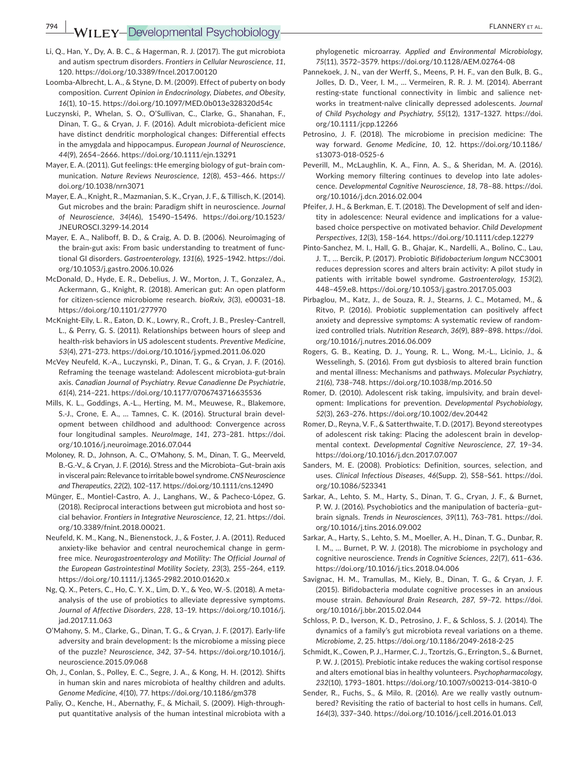**794 WILEY-Developmental Psychobiology- PLANNERY ET AL.** 

- Li, Q., Han, Y., Dy, A. B. C., & Hagerman, R. J. (2017). The gut microbiota and autism spectrum disorders. *Frontiers in Cellular Neuroscience*, *11*, 120. <https://doi.org/10.3389/fncel.2017.00120>
- Loomba‐Albrecht, L. A., & Styne, D. M. (2009). Effect of puberty on body composition. *Current Opinion in Endocrinology, Diabetes, and Obesity*, *16*(1), 10–15. <https://doi.org/10.1097/MED.0b013e328320d54c>
- Luczynski, P., Whelan, S. O., O'Sullivan, C., Clarke, G., Shanahan, F., Dinan, T. G., & Cryan, J. F. (2016). Adult microbiota-deficient mice have distinct dendritic morphological changes: Differential effects in the amygdala and hippocampus. *European Journal of Neuroscience*, *44*(9), 2654–2666.<https://doi.org/10.1111/ejn.13291>
- Mayer, E. A. (2011). Gut feelings: tHe emerging biology of gut–brain com‐ munication. *Nature Reviews Neuroscience*, *12*(8), 453–466. [https://](https://doi.org/10.1038/nrn3071) [doi.org/10.1038/nrn3071](https://doi.org/10.1038/nrn3071)
- Mayer, E. A., Knight, R., Mazmanian, S. K., Cryan, J. F., & Tillisch, K. (2014). Gut microbes and the brain: Paradigm shift in neuroscience. *Journal of Neuroscience*, *34*(46), 15490–15496. [https://doi.org/10.1523/](https://doi.org/10.1523/JNEUROSCI.3299-14.2014) [JNEUROSCI.3299-14.2014](https://doi.org/10.1523/JNEUROSCI.3299-14.2014)
- Mayer, E. A., Naliboff, B. D., & Craig, A. D. B. (2006). Neuroimaging of the brain‐gut axis: From basic understanding to treatment of func‐ tional GI disorders. *Gastroenterology*, *131*(6), 1925–1942. [https://doi.](https://doi.org/10.1053/j.gastro.2006.10.026) [org/10.1053/j.gastro.2006.10.026](https://doi.org/10.1053/j.gastro.2006.10.026)
- McDonald, D., Hyde, E. R., Debelius, J. W., Morton, J. T., Gonzalez, A., Ackermann, G., Knight, R. (2018). American gut: An open platform for citizen‐science microbiome research. *bioRxiv*, *3*(3), e00031–18. <https://doi.org/10.1101/277970>
- McKnight‐Eily, L. R., Eaton, D. K., Lowry, R., Croft, J. B., Presley‐Cantrell, L., & Perry, G. S. (2011). Relationships between hours of sleep and health‐risk behaviors in US adolescent students. *Preventive Medicine*, *53*(4), 271–273.<https://doi.org/10.1016/j.ypmed.2011.06.020>
- McVey Neufeld, K.‐A., Luczynski, P., Dinan, T. G., & Cryan, J. F. (2016). Reframing the teenage wasteland: Adolescent microbiota‐gut‐brain axis. *Canadian Journal of Psychiatry. Revue Canadienne De Psychiatrie*, *61*(4), 214–221.<https://doi.org/10.1177/0706743716635536>
- Mills, K. L., Goddings, A.‐L., Herting, M. M., Meuwese, R., Blakemore, S.-J., Crone, E. A., ... Tamnes, C. K. (2016). Structural brain development between childhood and adulthood: Convergence across four longitudinal samples. *NeuroImage*, *141*, 273–281. [https://doi.](https://doi.org/10.1016/j.neuroimage.2016.07.044) [org/10.1016/j.neuroimage.2016.07.044](https://doi.org/10.1016/j.neuroimage.2016.07.044)
- Moloney, R. D., Johnson, A. C., O'Mahony, S. M., Dinan, T. G., Meerveld, B.‐G.‐V., & Cryan, J. F. (2016). Stress and the Microbiota–Gut–brain axis in visceral pain: Relevance to irritable bowel syndrome. *CNS Neuroscience and Therapeutics*, *22*(2), 102–117. <https://doi.org/10.1111/cns.12490>
- Münger, E., Montiel-Castro, A. J., Langhans, W., & Pacheco-López, G. (2018). Reciprocal interactions between gut microbiota and host so‐ cial behavior. *Frontiers in Integrative Neuroscience*, *12*, 21. [https://doi.](https://doi.org/10.3389/fnint.2018.00021) [org/10.3389/fnint.2018.00021.](https://doi.org/10.3389/fnint.2018.00021)
- Neufeld, K. M., Kang, N., Bienenstock, J., & Foster, J. A. (2011). Reduced anxiety-like behavior and central neurochemical change in germfree mice. *Neurogastroenterology and Motility: The Official Journal of the European Gastrointestinal Motility Society*, *23*(3), 255–264, e119. <https://doi.org/10.1111/j.1365-2982.2010.01620.x>
- Ng, Q. X., Peters, C., Ho, C. Y. X., Lim, D. Y., & Yeo, W.‐S. (2018). A meta‐ analysis of the use of probiotics to alleviate depressive symptoms. *Journal of Affective Disorders*, *228*, 13–19. [https://doi.org/10.1016/j.](https://doi.org/10.1016/j.jad.2017.11.063) [jad.2017.11.063](https://doi.org/10.1016/j.jad.2017.11.063)
- O'Mahony, S. M., Clarke, G., Dinan, T. G., & Cryan, J. F. (2017). Early‐life adversity and brain development: Is the microbiome a missing piece of the puzzle? *Neuroscience*, *342*, 37–54. [https://doi.org/10.1016/j.](https://doi.org/10.1016/j.neuroscience.2015.09.068) [neuroscience.2015.09.068](https://doi.org/10.1016/j.neuroscience.2015.09.068)
- Oh, J., Conlan, S., Polley, E. C., Segre, J. A., & Kong, H. H. (2012). Shifts in human skin and nares microbiota of healthy children and adults. *Genome Medicine*, *4*(10), 77. <https://doi.org/10.1186/gm378>
- Paliy, O., Kenche, H., Abernathy, F., & Michail, S. (2009). High‐through‐ put quantitative analysis of the human intestinal microbiota with a

phylogenetic microarray. *Applied and Environmental Microbiology*, *75*(11), 3572–3579. <https://doi.org/10.1128/AEM.02764-08>

- Pannekoek, J. N., van der Werff, S., Meens, P. H. F., van den Bulk, B. G., Jolles, D. D., Veer, I. M., … Vermeiren, R. R. J. M. (2014). Aberrant resting‐state functional connectivity in limbic and salience net‐ works in treatment‐naïve clinically depressed adolescents. *Journal of Child Psychology and Psychiatry*, *55*(12), 1317–1327. [https://doi.](https://doi.org/10.1111/jcpp.12266) [org/10.1111/jcpp.12266](https://doi.org/10.1111/jcpp.12266)
- Petrosino, J. F. (2018). The microbiome in precision medicine: The way forward. *Genome Medicine*, *10*, 12. [https://doi.org/10.1186/](https://doi.org/10.1186/s13073-018-0525-6) [s13073-018-0525-6](https://doi.org/10.1186/s13073-018-0525-6)
- Peverill, M., McLaughlin, K. A., Finn, A. S., & Sheridan, M. A. (2016). Working memory filtering continues to develop into late adoles‐ cence. *Developmental Cognitive Neuroscience*, *18*, 78–88. [https://doi.](https://doi.org/10.1016/j.dcn.2016.02.004) [org/10.1016/j.dcn.2016.02.004](https://doi.org/10.1016/j.dcn.2016.02.004)
- Pfeifer, J. H., & Berkman, E. T. (2018). The Development of self and iden‐ tity in adolescence: Neural evidence and implications for a value‐ based choice perspective on motivated behavior. *Child Development Perspectives*, *12*(3), 158–164. <https://doi.org/10.1111/cdep.12279>
- Pinto‐Sanchez, M. I., Hall, G. B., Ghajar, K., Nardelli, A., Bolino, C., Lau, J. T., … Bercik, P. (2017). Probiotic *Bifidobacterium longum* NCC3001 reduces depression scores and alters brain activity: A pilot study in patients with irritable bowel syndrome. *Gastroenterology*, *153*(2), 448–459.e8.<https://doi.org/10.1053/j.gastro.2017.05.003>
- Pirbaglou, M., Katz, J., de Souza, R. J., Stearns, J. C., Motamed, M., & Ritvo, P. (2016). Probiotic supplementation can positively affect anxiety and depressive symptoms: A systematic review of random‐ ized controlled trials. *Nutrition Research*, *36*(9), 889–898. [https://doi.](https://doi.org/10.1016/j.nutres.2016.06.009) [org/10.1016/j.nutres.2016.06.009](https://doi.org/10.1016/j.nutres.2016.06.009)
- Rogers, G. B., Keating, D. J., Young, R. L., Wong, M.‐L., Licinio, J., & Wesselingh, S. (2016). From gut dysbiosis to altered brain function and mental illness: Mechanisms and pathways. *Molecular Psychiatry*, *21*(6), 738–748.<https://doi.org/10.1038/mp.2016.50>
- Romer, D. (2010). Adolescent risk taking, impulsivity, and brain devel‐ opment: Implications for prevention. *Developmental Psychobiology*, *52*(3), 263–276. <https://doi.org/10.1002/dev.20442>
- Romer, D., Reyna, V. F., & Satterthwaite, T. D. (2017). Beyond stereotypes of adolescent risk taking: Placing the adolescent brain in develop‐ mental context. *Developmental Cognitive Neuroscience*, *27*, 19–34. <https://doi.org/10.1016/j.dcn.2017.07.007>
- Sanders, M. E. (2008). Probiotics: Definition, sources, selection, and uses. *Clinical Infectious Diseases*, *46*(Supp. 2), S58–S61. [https://doi.](https://doi.org/10.1086/523341) [org/10.1086/523341](https://doi.org/10.1086/523341)
- Sarkar, A., Lehto, S. M., Harty, S., Dinan, T. G., Cryan, J. F., & Burnet, P. W. J. (2016). Psychobiotics and the manipulation of bacteria–gut– brain signals. *Trends in Neurosciences*, *39*(11), 763–781. [https://doi.](https://doi.org/10.1016/j.tins.2016.09.002) [org/10.1016/j.tins.2016.09.002](https://doi.org/10.1016/j.tins.2016.09.002)
- Sarkar, A., Harty, S., Lehto, S. M., Moeller, A. H., Dinan, T. G., Dunbar, R. I. M., … Burnet, P. W. J. (2018). The microbiome in psychology and cognitive neuroscience. *Trends in Cognitive Sciences*, *22*(7), 611–636. <https://doi.org/10.1016/j.tics.2018.04.006>
- Savignac, H. M., Tramullas, M., Kiely, B., Dinan, T. G., & Cryan, J. F. (2015). Bifidobacteria modulate cognitive processes in an anxious mouse strain. *Behavioural Brain Research*, *287*, 59–72. [https://doi.](https://doi.org/10.1016/j.bbr.2015.02.044) [org/10.1016/j.bbr.2015.02.044](https://doi.org/10.1016/j.bbr.2015.02.044)
- Schloss, P. D., Iverson, K. D., Petrosino, J. F., & Schloss, S. J. (2014). The dynamics of a family's gut microbiota reveal variations on a theme. *Microbiome*, *2*, 25. <https://doi.org/10.1186/2049-2618-2-25>
- Schmidt, K., Cowen, P. J., Harmer, C. J., Tzortzis, G., Errington, S., & Burnet, P. W. J. (2015). Prebiotic intake reduces the waking cortisol response and alters emotional bias in healthy volunteers. *Psychopharmacology*, *232*(10), 1793–1801.<https://doi.org/10.1007/s00213-014-3810-0>
- Sender, R., Fuchs, S., & Milo, R. (2016). Are we really vastly outnum‐ bered? Revisiting the ratio of bacterial to host cells in humans. *Cell*, *164*(3), 337–340. <https://doi.org/10.1016/j.cell.2016.01.013>